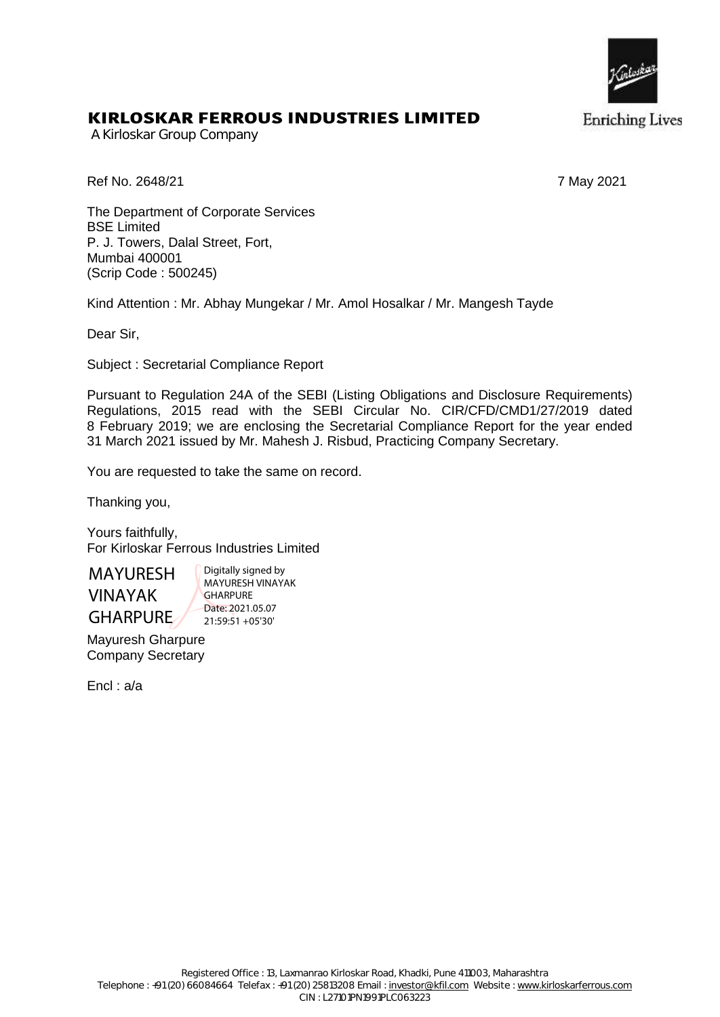

## KIRLOSKAR FERROUS INDUSTRIES LIMITED

A Kirloskar Group Company

Ref No. 2648/21 7 May 2021

The Department of Corporate Services BSE Limited P. J. Towers, Dalal Street, Fort, Mumbai 400001 (Scrip Code : 500245)

Kind Attention : Mr. Abhay Mungekar / Mr. Amol Hosalkar / Mr. Mangesh Tayde

Dear Sir,

Subject : Secretarial Compliance Report

Pursuant to Regulation 24A of the SEBI (Listing Obligations and Disclosure Requirements) Regulations, 2015 read with the SEBI Circular No. CIR/CFD/CMD1/27/2019 dated 8 February 2019; we are enclosing the Secretarial Compliance Report for the year ended 31 March 2021 issued by Mr. Mahesh J. Risbud, Practicing Company Secretary.

You are requested to take the same on record.

Thanking you,

Yours faithfully, For Kirloskar Ferrous Industries Limited

MAYURESH VINAYAK GHARPURE

Digitally signed by MAYURESH VINAYAK **GHARPURE** Date: 2021.05.07 21:59:51 +05'30'

Mayuresh Gharpure Company Secretary

Encl : a/a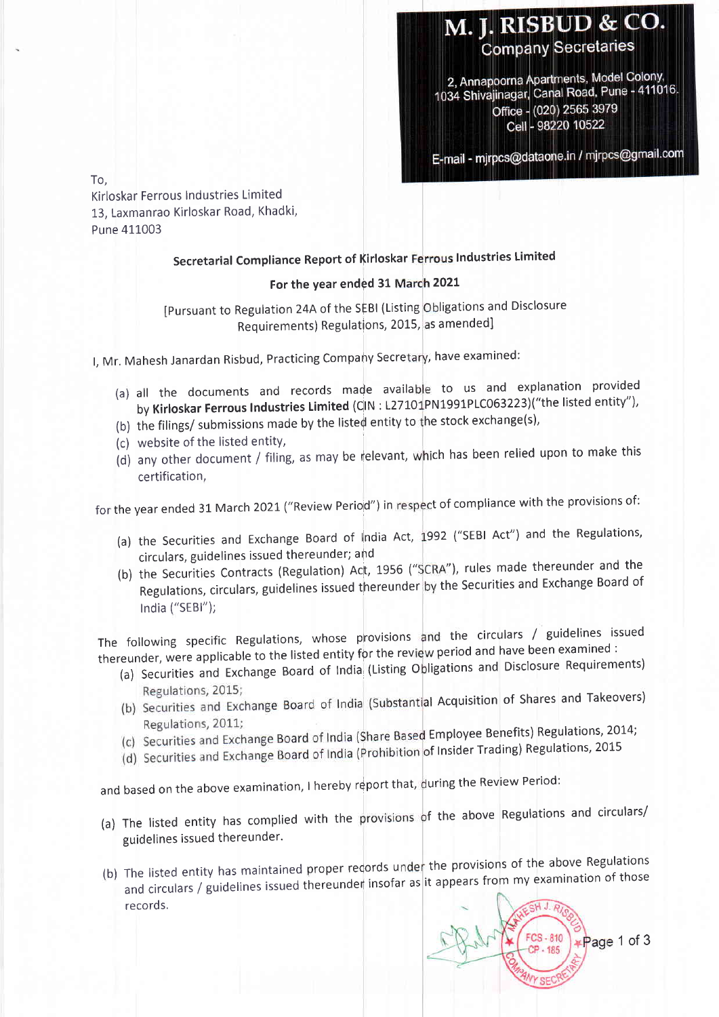## M. J. RISBUD & CO. **Company Secretaries**

2, Annapoorna Apartments, Model Colony, 2, Annapourna Apartmento, ... Pune - 411016. Office - (020) 2565 3979 Cell - 98220 10522

E-mail - mjrpcs@dataone.in / mjrpcs@gmail.com

To,

Kirloskar Ferrous Industries Limited 13, Laxmanrao Kirloskar Road, Khadki, Pune 411003

## Secretarial Compliance Report of Kirloskar Ferrous Industries Limited

## For the year ended 31 March 2021

[Pursuant to Regulation 24A of the SEBI (Listing Obligations and Disclosure Requirements) Regulations, 2015, as amended

l, Mr. Mahesh Janardan Risbud, Practicing Company Secretary, have examined:

- (a) all the documents and records made available to us and explanation provided by Kirloskar Ferrous Industries Limited (CIN : L27101PN1991PLC063223)("the listed entity"),
- (b) the filings/ submissions made by the listed entity to the stock exchange(s),
- (c) website of the listed entity,
- (d) any other document / filing, as may be relevant, which has been relied upon to make this certification,

for the year ended 31 March 2021 ("Review Perio<mark>d") in respect of compliance with the provisions of</mark>:

- (a) the Securities and Exchange Board of India Act, 1992 ("SEBI Act") and the Regulations circulars, guidelines issued thereunder; ahd
- (b) the Securities Contracts (Regulation) Act, 1956 ("SCRA"), rules made thereunder and the Regulations, circulars, guidelines issued thereunder by the Securities and Exchange Board of India ("SEBl");

The following specific Regulations, whose provisions and the circulars / guidelines issued the constants opposite the better have been examined :<br>thereunder, were applicable to the listed entity for the review period and have been examined :

- cander, ners eppents Regulations, 2015;
- (b) Securities and Exchange Board of India (Substantial Acquisition of Shares and Takeovers) Regulations, 2011;
- (c) Securities and Exchange Board of India (Share Based Employee Benefits) Regulations, 2014;
- (d) Securities and Exchange Board of India (Prohibition of Insider Trading) Regulations, 2015

and based on the above examination, I hereby report that, during the Review Period

- (a) The listed entity has complied with the provisions of the above Regulations and circulars, guidelines issued thereunder.
- The listed entity has maintained proper records under the provisions of the above Regulations<br>The listed entity has maintained proper records under the provisions of the above Regulation (b) The listed entity has maintained proper redords didenties from my examination of those and circulars / guidelines issued thereunder insofar as it appears from my examination of those records.

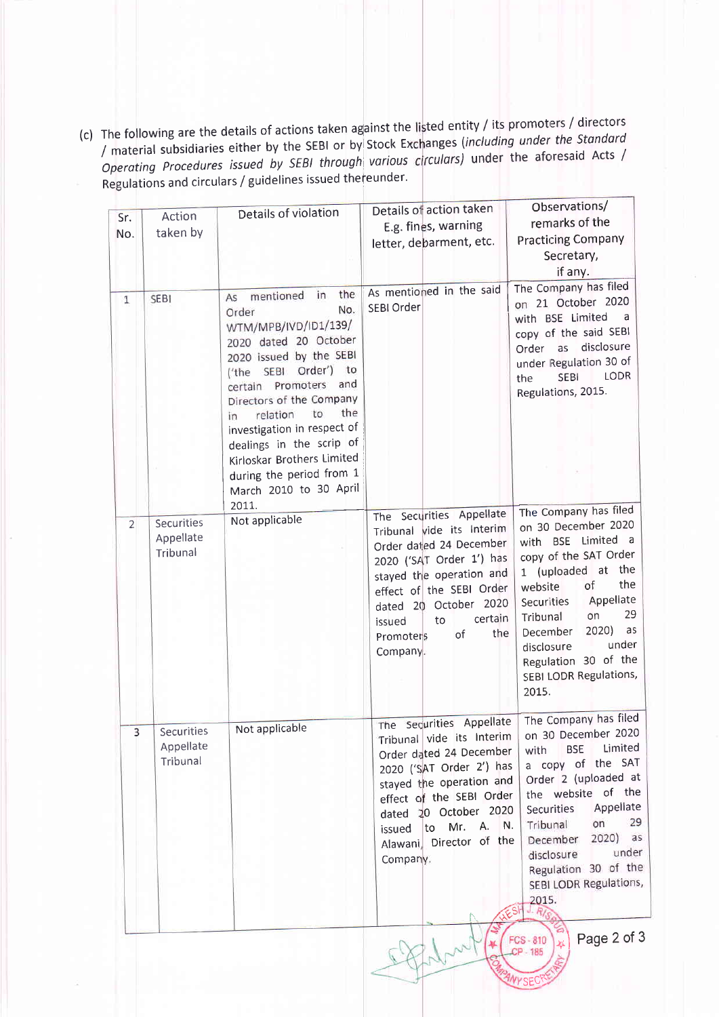(c) The following are the details of actions taken against the listed entity / its promoters / directors / material subsidiaries either by the SEBI or by Stock Exchanges (including under the Standard Operating Procedures issued by SEBI through various circulars) under the aforesaid Acts / Regulations and circulars / guidelines issued thereunder.

|                         |            | Details of violation                          | Details of action taken                              | Observations/                                   |
|-------------------------|------------|-----------------------------------------------|------------------------------------------------------|-------------------------------------------------|
| Sr.                     | Action     |                                               | E.g. fines, warning                                  | remarks of the                                  |
| No.                     | taken by   |                                               | letter, debarment, etc.                              | <b>Practicing Company</b>                       |
|                         |            |                                               |                                                      | Secretary,                                      |
|                         |            |                                               |                                                      | if any.                                         |
|                         |            | the<br>mentioned<br>in                        | As mentioned in the said                             | The Company has filed                           |
| 1                       | SEBI       | As<br>No.<br>Order                            | SEBI Order                                           | on 21 October 2020                              |
|                         |            | WTM/MPB/IVD/ID1/139/                          |                                                      | with BSE Limited<br><sub>a</sub>                |
|                         |            | 2020 dated 20 October                         |                                                      | copy of the said SEBI<br>disclosure             |
|                         |            | 2020 issued by the SEBI                       |                                                      | as<br>Order<br>under Regulation 30 of           |
|                         |            | ('the SEBI Order')<br>to                      |                                                      | LODR<br><b>SEBI</b><br>the                      |
|                         |            | and<br>certain Promoters                      |                                                      | Regulations, 2015.                              |
|                         |            | Directors of the Company<br>the<br>to         |                                                      |                                                 |
|                         |            | relation<br>in<br>investigation in respect of |                                                      |                                                 |
|                         |            | dealings in the scrip of                      |                                                      |                                                 |
|                         |            | Kirloskar Brothers Limited                    |                                                      |                                                 |
|                         |            | during the period from 1                      |                                                      |                                                 |
|                         |            | March 2010 to 30 April                        |                                                      |                                                 |
|                         |            | 2011.                                         | The Securities Appellate                             | The Company has filed                           |
| $\overline{2}$          | Securities | Not applicable                                | Tribunal vide its Interim                            | on 30 December 2020                             |
|                         | Appellate  |                                               | Order dated 24 December                              | with BSE Limited a                              |
|                         | Tribunal   |                                               | 2020 ('SAT Order 1') has                             | copy of the SAT Order                           |
|                         |            |                                               | stayed the operation and                             | 1 (uploaded at the<br>the                       |
|                         |            |                                               | effect of the SEBI Order                             | of<br>website<br>Appellate                      |
|                         |            |                                               | dated 20 October 2020                                | Securities<br>29<br>on<br>Tribunal              |
|                         |            |                                               | certain<br>to<br>issued<br>the<br>of                 | 2020)<br>as<br>December                         |
|                         |            |                                               | Promoters<br>Company.                                | under<br>disclosure                             |
|                         |            |                                               |                                                      | Regulation 30 of the                            |
|                         |            |                                               |                                                      | SEBI LODR Regulations,                          |
|                         |            |                                               |                                                      | 2015.                                           |
|                         |            |                                               |                                                      | The Company has filed                           |
| $\overline{\mathbf{3}}$ | Securities | Not applicable                                | The Securities Appellate                             | on 30 December 2020                             |
|                         | Appellate  |                                               | Tribunal vide its Interim<br>Order dated 24 December | Limited<br><b>BSE</b><br>with                   |
|                         | Tribunal   |                                               | 2020 ('SAT Order 2') has                             | a copy of the SAT                               |
|                         |            |                                               | stayed the operation and                             | Order 2 (uploaded at                            |
|                         |            |                                               | effect of the SEBI Order                             | the website of the                              |
|                         |            |                                               | dated 20 October 2020                                | Appellate<br>Securities                         |
|                         |            |                                               | to Mr. A. N.<br>issued                               | 29<br>on<br>Tribunal<br>as<br>2020)<br>December |
|                         |            |                                               | Alawani, Director of the                             | under<br>disclosure                             |
|                         |            |                                               | Company.                                             | Regulation 30 of the                            |
|                         |            |                                               |                                                      | SEBI LODR Regulations,                          |
|                         |            |                                               |                                                      | 2015.                                           |
|                         |            |                                               |                                                      |                                                 |
|                         |            |                                               |                                                      | Page 2 of 3<br>FCS-810                          |
|                         |            |                                               |                                                      | ¥<br>CP-185                                     |
|                         |            |                                               |                                                      |                                                 |